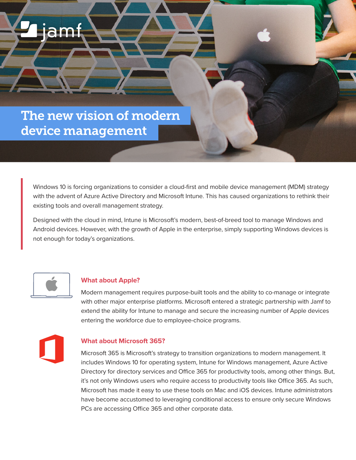## The new vision of modern device management

iam

Windows 10 is forcing organizations to consider a cloud-first and mobile device management (MDM) strategy with the advent of Azure Active Directory and Microsoft Intune. This has caused organizations to rethink their existing tools and overall management strategy.

Designed with the cloud in mind, Intune is Microsoft's modern, best-of-breed tool to manage Windows and Android devices. However, with the growth of Apple in the enterprise, simply supporting Windows devices is not enough for today's organizations.



## **What about Apple?**

Modern management requires purpose-built tools and the ability to co-manage or integrate with other major enterprise platforms. Microsoft entered a strategic partnership with Jamf to extend the ability for Intune to manage and secure the increasing number of Apple devices entering the workforce due to employee-choice programs.



## **What about Microsoft 365?**

Microsoft 365 is Microsoft's strategy to transition organizations to modern management. It includes Windows 10 for operating system, Intune for Windows management, Azure Active Directory for directory services and Office 365 for productivity tools, among other things. But, it's not only Windows users who require access to productivity tools like Office 365. As such, Microsoft has made it easy to use these tools on Mac and iOS devices. Intune administrators have become accustomed to leveraging conditional access to ensure only secure Windows PCs are accessing Office 365 and other corporate data.